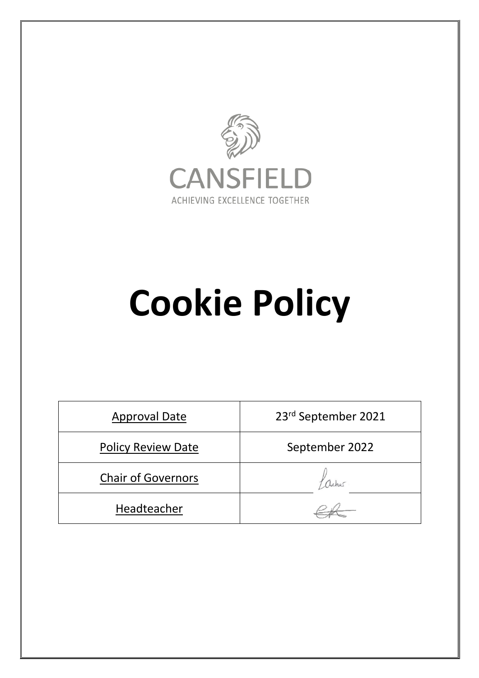

## **Cookie Policy**

| <b>Approval Date</b>      | 23rd September 2021 |
|---------------------------|---------------------|
| <b>Policy Review Date</b> | September 2022      |
| <b>Chair of Governors</b> |                     |
| Headteacher               |                     |